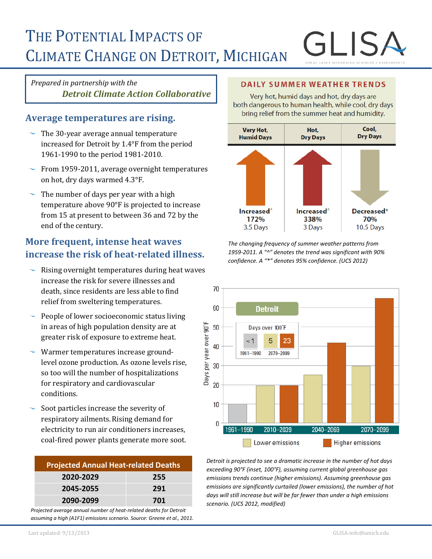# THE POTENTIAL IMPACTS OF CLIMATE CHANGE ON DETROIT, MICHIGAN

# *Prepared in partnership with the Detroit Climate Action Collaborative*

# **Average temperatures are rising.**

- $\sim$  The 30-year average annual temperature increased for Detroit by 1.4°F from the period 1961-1990 to the period 1981-2010.
- $\sim$  From 1959-2011, average overnight temperatures on hot, dry days warmed 4.3°F.
- $\sim$  The number of days per year with a high temperature above 90°F is projected to increase from 15 at present to between 36 and 72 by the end of the century.

# **More frequent, intense heat waves increase the risk of heat-related illness.**

- Rising overnight temperatures during heat waves increase the risk for severe illnesses and death, since residents are less able to find relief from sweltering temperatures.
- $\sim$  People of lower socioeconomic status living in areas of high population density are at greater risk of exposure to extreme heat.
- Warmer temperatures increase groundlevel ozone production. As ozone levels rise, so too will the number of hospitalizations for respiratory and cardiovascular conditions.
- Soot particles increase the severity of respiratory ailments. Rising demand for electricity to run air conditioners increases, coal-fired power plants generate more soot.

| <b>Projected Annual Heat-related Deaths</b> |     |
|---------------------------------------------|-----|
| 2020-2029                                   | 255 |
| 2045-2055                                   | 291 |
| 2090-2099                                   | 701 |

*Projected average annual number of heat-related deaths for Detroit assuming a high (A1F1) emissions scenario. Source: Greene et al., 2011.*

### **DAILY SUMMER WEATHER TRENDS**

Very hot, humid days and hot, dry days are both dangerous to human health, while cool, dry days bring relief from the summer heat and humidity.



*The changing frequency of summer weather patterns from 1959-2011. A "^" denotes the trend was significant with 90% confidence. A "\*" denotes 95% confidence. (UCS 2012)*



*Detroit is projected to see a dramatic increase in the number of hot days exceeding 90°F (inset, 100°F), assuming current global greenhouse gas emissions trends continue (higher emissions). Assuming greenhouse gas emissions are significantly curtailed (lower emissions), the number of hot days will still increase but will be far fewer than under a high emissions scenario. (UCS 2012, modified)*